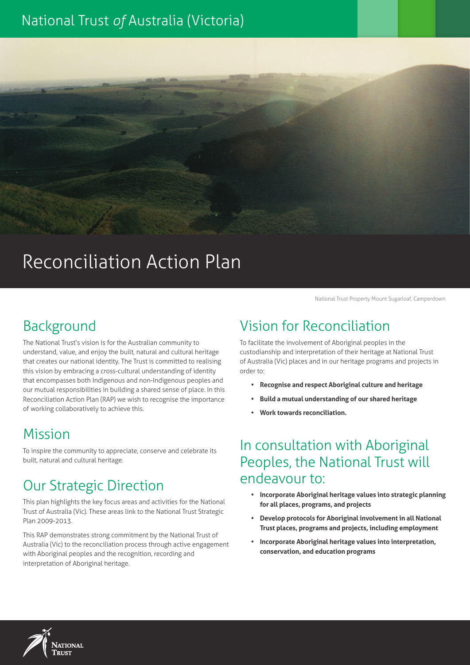# National Trust *of* Australia (Victoria)

# Reconciliation Action Plan

National Trust Property Mount Sugarloaf, Camperdown

#### Background

The National Trust's vision is for the Australian community to understand, value, and enjoy the built, natural and cultural heritage that creates our national identity. The Trust is committed to realising this vision by embracing a cross-cultural understanding of identity that encompasses both Indigenous and non-Indigenous peoples and our mutual responsibilities in building a shared sense of place. In this Reconciliation Action Plan (RAP) we wish to recognise the importance of working collaboratively to achieve this.

#### Mission

To inspire the community to appreciate, conserve and celebrate its built, natural and cultural heritage.

# Our Strategic Direction

This plan highlights the key focus areas and activities for the National Trust of Australia (Vic). These areas link to the National Trust Strategic Plan 2009-2013.

This RAP demonstrates strong commitment by the National Trust of Australia (Vic) to the reconciliation process through active engagement with Aboriginal peoples and the recognition, recording and interpretation of Aboriginal heritage.

#### Vision for Reconciliation

To facilitate the involvement of Aboriginal peoples in the custodianship and interpretation of their heritage at National Trust of Australia (Vic) places and in our heritage programs and projects in order to:

- **• Recognise and respect Aboriginal culture and heritage**
- **• Build a mutual understanding of our shared heritage**
- **• Work towards reconciliation.**

#### In consultation with Aboriginal Peoples, the National Trust will endeavour to:

- **• Incorporate Aboriginal heritage values into strategic planning for all places, programs, and projects**
- **• Develop protocols for Aboriginal involvement in all National Trust places, programs and projects, including employment**
- **• Incorporate Aboriginal heritage values into interpretation, conservation, and education programs**